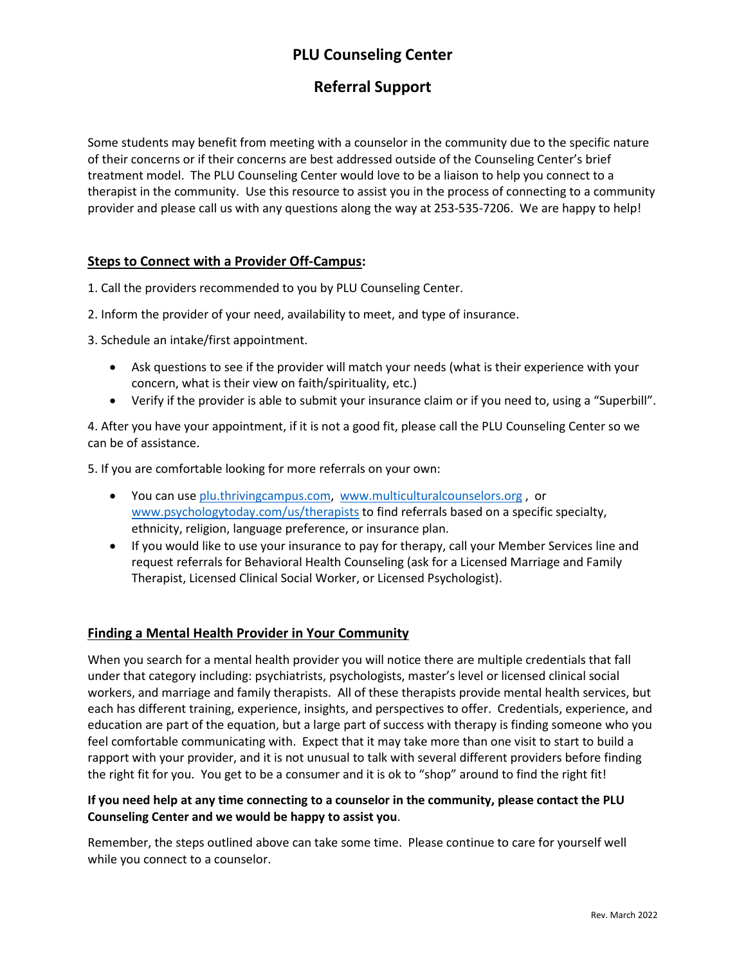# **PLU Counseling Center**

## **Referral Support**

Some students may benefit from meeting with a counselor in the community due to the specific nature of their concerns or if their concerns are best addressed outside of the Counseling Center's brief treatment model. The PLU Counseling Center would love to be a liaison to help you connect to a therapist in the community. Use this resource to assist you in the process of connecting to a community provider and please call us with any questions along the way at 253-535-7206. We are happy to help!

#### **Steps to Connect with a Provider Off-Campus:**

1. Call the providers recommended to you by PLU Counseling Center.

2. Inform the provider of your need, availability to meet, and type of insurance.

3. Schedule an intake/first appointment.

- Ask questions to see if the provider will match your needs (what is their experience with your concern, what is their view on faith/spirituality, etc.)
- Verify if the provider is able to submit your insurance claim or if you need to, using a "Superbill".

4. After you have your appointment, if it is not a good fit, please call the PLU Counseling Center so we can be of assistance.

5. If you are comfortable looking for more referrals on your own:

- You can use [plu.thrivingcampus.com,](https://plu.thrivingcampus.com/) [www.multiculturalcounselors.org](http://www.multiculturalcounselors.org/), or [www.psychologytoday.com/us/therapists](http://www.psychologytoday.com/us/therapists) to find referrals based on a specific specialty, ethnicity, religion, language preference, or insurance plan.
- If you would like to use your insurance to pay for therapy, call your Member Services line and request referrals for Behavioral Health Counseling (ask for a Licensed Marriage and Family Therapist, Licensed Clinical Social Worker, or Licensed Psychologist).

#### **Finding a Mental Health Provider in Your Community**

When you search for a mental health provider you will notice there are multiple credentials that fall under that category including: psychiatrists, psychologists, master's level or licensed clinical social workers, and marriage and family therapists. All of these therapists provide mental health services, but each has different training, experience, insights, and perspectives to offer. Credentials, experience, and education are part of the equation, but a large part of success with therapy is finding someone who you feel comfortable communicating with. Expect that it may take more than one visit to start to build a rapport with your provider, and it is not unusual to talk with several different providers before finding the right fit for you. You get to be a consumer and it is ok to "shop" around to find the right fit!

#### **If you need help at any time connecting to a counselor in the community, please contact the PLU Counseling Center and we would be happy to assist you**.

Remember, the steps outlined above can take some time. Please continue to care for yourself well while you connect to a counselor.